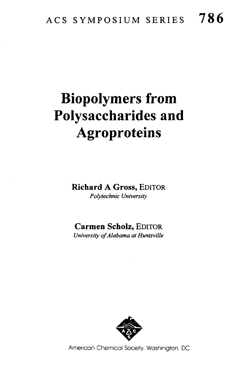# Biopolymers from Polysaccharides and Agroproteins

**Richard A Gross, EDITOR** *Polytechnic University*

# **Carmen Scholz, EDITOR**

*University of Alabama at Huntsville*



American Chemical Society, Washington, DC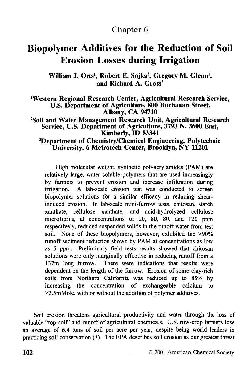# Chapter 6

# **Biopolymer Additives for the Reduction of Soil Erosion Losses during Irrigation**

**William J. Orts', Robert E. Sojka2 , Gregory M. Glenn',** and Richard A. **Gross'**

**'Western Regional Research Center, Agricultural Research Service,** U.S. **Department of Agriculture, 800 Buchanan Street, Albany,** CA **94710**

**'Soil and Water Management Research Unit, Agricultural Research Service,** U.S. Department of Agriculture, 3793 N. **3600 East, Kimberly, ID 83341**

**'Department of Chemistry/Chemical Engineering, Polytechnic University, 6 Metrotech Center, Brooklyn, NY 11201**

High molecular weight, synthetic polyacrylamides (PAM) are relatively large, water soluble polymers that are used increasingly by farmers to prevent erosion and increase infiltration during irrigation. A lab-scale erosion test was conducted to screen biopolymer solutions for a similar efficacy in reducing shearinduced erosion. In lab-scale mini-furrow tests, chitosan, starch xanthate, cellulose xanthate, and acid-hydrolyzed cellulose microfibrils, at concentrations of 20, 80, 80, and 120 ppm respectively, reduced suspended solids in the runoff water from test soil. None of these biopolymers, however, exhibited the >90% runoff sediment reduction shown by PAM at concentrations as low as 5 ppm. Preliminary field tests results showed that chitosan solutions were only marginally effective in reducing runoff from a 137m long furrow. There were indications that results were dependent on the length of the furrow. Erosion of some clay-rich soils from Northern California was reduced up to 85% by increasing the concentration of exchangeable calcium to >2.5mMole, with or without the addition of polymer additives.

Soil erosion threatens agricultural productivity and water through the loss of valuable "top-soil" and runoff of agricultural chemicals. U.S. row-crop farmers lose an average of 6.4 tons of soil per acre per year, despite being world leaders in practicing soil conservation  $(1)$ . The EPA describes soil erosion as our greatest threat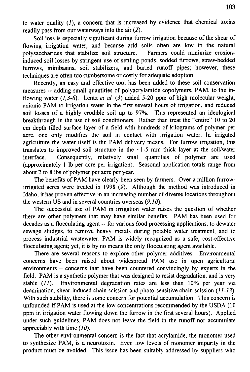to water quality  $(1)$ , a concern that is increased by evidence that chemical toxins readily pass from our waterways into the air (2).

Soil loss is especially significant during furrow irrigation because of the shear of flowing irrigation water, and because arid soils often are low in the natural nolvsaccharides that stabilize soil structure. Farmers could minimize erosionpolysaccharides that stabilize soil structure. induced soil losses by stringent use of settling ponds, sodded furrows, straw-bedded furrows, minibasins, soil stabilizers, and buried runoff pipes; however, these techniques are often too cumbersome or costly for adequate adoption.

Recently, an easy and effective tool has been added to these soil conservation measures -- adding small quantities of polyacrylamide copolymers, PAM, to the inflowing water  $(1,3-8)$ . Lentz *et al.* (3) added 5-20 ppm of high molecular weight, anionic PAM to irrigation water in the first several hours of irrigation, and reduced soil losses of a highly erodible soil up to 97%. This represented an ideological breakthrough in the use of soil conditioners. Rather than treat the "entire" 10 to 20 cm depth tilled surface layer of a field with hundreds of kilograms of polymer per acre, one only modifies the soil in contact with irrigation water. In irrigated agriculture the water itself is the PAM delivery means. For furrow irrigation, this translates to improved soil structure in the  $\sim$ 1-5 mm thick layer at the soil/water interface. Consequently, relatively small quantities of polymer are used (approximately 1 lb per acre per irrigation). Seasonal application totals range from about 2 to 8 lbs of polymer per acre per year.

The benefits of PAM have clearly been seen by farmers. Over a million furrowirrigated acres were treated in 1998 (9). Although the method was introduced in Idaho, it has proven effective in an increasing number of diverse locations throughout the western US and in several countries overseas (9,10).

The successful use of PAM in irrigation water raises the question of whether there are other polymers that may have similar benefits. PAM has been used for decades as a flocculating agent -- for various food processing applications, to dewater sewage sludges, to remove heavy metals during potable water treatment, and to process industrial wastewater. PAM is widely recognized as a safe, cost-effective flocculating agent; yet, it is by no means the only flocculating agent available.

There are several reasons to explore other polymer additives. Environmental concerns have been raised about widespread PAM use in open agricultural environments — concerns that have been countered convincingly by experts in the field. PAM is a synthetic polymer that was designed to resist degradation, and is very stable (11). Environmental degradation rates are less than 10% per year via deamination, shear-induced chain scission and photo-sensitive chain scission *(11-13).* With such stability, there is some concern for potential accumulation. This concern is unfounded if PAM is used at the low concentrations recommended by the USDA (10 ppm in irrigation water flowing down the furrow in the first several hours). Applied under such guidelines, PAM does not leave the field in the runoff nor accumulate appreciably with time (10).

The other environmental concern is the fact that acrylamide, the monomer used to synthesize PAM, is a neurotoxin. Even low levels of monomer impurity in the product must be avoided. This issue has been suitably addressed by suppliers who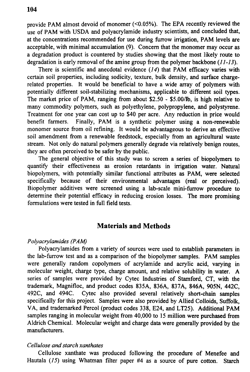provide PAM almost devoid of monomer (<0.05%). The EPA recently reviewed the use of PAM with USDA and polyacrylamide industry scientists, and concluded that, at the concentrations recommended for use during furrow irrigation, PAM levels are acceptable, with minimal accumulation (9). Concern that the monomer may occur as a degradation product is countered by studies showing that the most likely route to degradation is early removal of the amine group from the polymer backbone *(11-13).*

There is scientific and anecdotal evidence *(14)* that PAM efficacy varies with certain soil properties, including sodicity, texture, bulk density, and surface chargerelated properties. It would be beneficial to have a wide array of polymers with potentially different soil-stabilizing mechanisms, applicable to different soil types. The market price of PAM, ranging from about \$2.50 - \$5.00/1b, is high relative to many commodity polymers, such as polyethylene, polypropylene, and polystyrene. Treatment for one year can cost up to \$40 per acre. Any reduction in price would<br>benefit farmers. Finally, PAM is a synthetic polymer using a non-renewable Finally, PAM is a synthetic polymer using a non-renewable monomer source from oil refining. It would be advantageous to derive an effective soil amendment from a renewable feedstock, especially from an agricultural waste stream. Not only do natural polymers generally degrade via relatively benign routes, they are often perceived to be safer by the public.

The general objective of this study was to screen a series of biopolymers to quantify their effectiveness as erosion retardants in irrigation water. Natural biopolymers, with potentially similar functional attributes as PAM, were selected specifically because of their environmental advantages (real or perceived). Biopolymer additives were screened using a lab-scale mini-furrow procedure to determine their potential efficacy in reducing erosion losses. The more promising formulations were tested in full field tests.

## **Materials and Methods**

#### *Polyacrylamides (PAM)*

Polyacrylam ides from a variety of sources were used to establish parameters in the lab-furrow test and as a comparison of the biopolymer samples. PAM samples were generally random copolymers of acrylamide and acrylic acid, varying in molecular weight, charge type, charge amount, and relative solubility in water. A series of samples were provided by Cytec Industries of Stamford, CT, with the trademark, Magnifloc, and product codes 835A, 836A, 837A, 846A, 905N, 442C, 492C, and 494C. Cytec also provided several relatively short-chain samples specifically for this project. Samples were also provided by Allied Colloids, Suffolk, VA, and trademarked Percol (product codes 338, E24, and LT25). Additional PAM samples ranging in molecular weight from 40,000 to 15 million were purchased from Aldrich Chemical. Molecular weight and charge data were generally provided by the manufacturers.

## *Cellulose and starch xanthates*

Cellulose xanthate was produced following the procedure of Menefee and Hautala *(15)* using Whatman filter paper #4 as a source of pure cotton. Starch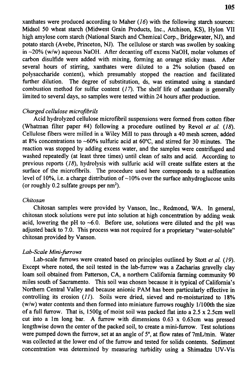xanthates were produced according to Maher *(16)* with the following starch sources: Midsol 50 wheat starch (Midwest Grain Products, Inc., Atchison, KS), Hylon VII high amylose corn starch (National Starch and Chemical Corp., Bridgewater, NJ), and potato starch (Avebe, Princeton, NJ). The cellulose or starch was swollen by soaking in  $\sim$ 20% (w/w) aqueous NaOH. After decanting off excess NaOH, molar volumes of carbon disulfide were added with mixing, forming an orange sticky mass. After several hours of stirring, xanthates were diluted to a 2% solution (based on polysaccharide content), which presumably stopped the reaction and facilitated further dilution. The degree of substitution, ds, was estimated using a standard combustion method for sulfur content  $(17)$ . The shelf life of xanthate is generally limited to several days, so samples were tested within 24 hours after production.

# *Charged cellulose microfibrils*

Acid hydrolyzed cellulose microfibril suspensions were formed from cotton fiber (Whatman filter paper #4) following a procedure outlined by Revol *et al. (18).* Cellulose fibers were milled in a Wiley Mill to pass through a 40 mesh screen, added at 8% concentrations to –60% sulfuric acid at 60°C, and stirred for 30 minutes. The reaction was stopped by adding excess water, and the samples were centrifuged and washed repeatedly (at least three times) until clean of salts and acid. According to previous reports (18), hydrolysis with sulfuric acid will create sulfate esters at the surface of the microfibrils. The procedure used here corresponds to a sulfonation level of 10%, i.e. a charge distribution of  $\sim$ 10% over the surface anhydroglucose units (or roughly 0.2 sulfate groups per  $nm^2$ ).

## *Chitosan*

Chitosan samples were provided by Vanson, Inc., Redmond, WA. In general, chitosan stock solutions were put into solution at high concentration by adding weak acid, lowering the pH to  $\sim 6.0$ . Before use, solutions were diluted and the pH was adjusted back to 7.0. This process was not required for a proprietary "water-soluble" chitosan provided by Vanson.

## *Lab-Scale Mini-furrows*

Lab-scale furrows were created based on principles outlined by Stott *et al. (19).* Except where noted, the soil tested in the lab-furrow was a Zacharias gravelly clay loam soil obtained from Patterson, CA, a northern California farming community 90 miles south of Sacramento. This soil was chosen because it is typical of California's Northern Central Valley and because anionic PAM has been particularly effective in controlling its erosion (11). Soils were dried, sieved and re-moisturized to 18% (w/w) water contents and then formed into miniature furrows roughly 1/100th the size of a full furrow. That is, 1500g of moist soil was packed flat into a 2.5 x 2.5cm well cut into a lm long bar. A furrow with dimensions 0.63 x 0.63cm was pressed lengthwise down the center of the packed soil, to create a mini-furrow. Test solutions were pumped down the furrow, set at an angle of 5°, at flow rates of 7mL/min. Water was collected at the lower end of the furrow and tested for solids contents. Sediment concentration was determined by measuring turbidity using a Shimadzu UV-Vis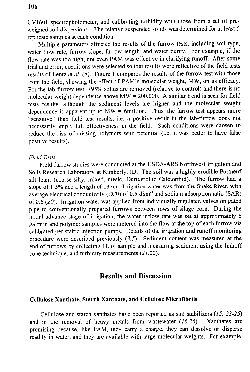**106**

UV1601 spectrophotometer, and calibrating turbidity with those from a set of preweighed soil dispersions. The relative suspended solids was determined for at least 5 replicate samples at each condition.

Multiple parameters affected the results of the furrow tests, including soil type, water flow rate, furrow slope, furrow length, and water purity. For example, if the flow rate was too high, not even PAM was effective in clarifying runoff. After some trial and error, conditions were selected so that results were reflective of the field tests results of Lentz *et al. (5).* Figure 1 compares the results of the furrow test with those from the field, showing the effect of PAM's molecular weight, MW, on its efficacy. For the lab-furrow test,  $>95\%$  solids are removed (relative to control) and there is no molecular weight dependence above  $MW = 200,000$ . A similar trend is seen for field tests results, although the sediment levels are higher and the molecular weight dependence is apparent up to  $MW = 6$ million. Thus, the furrow test appears more "sensitive" than field test results, i.e. a positive result in the lab-furrow does not necessarily imply full effectiveness in the field. Such conditions were chosen to reduce the risk of missing polymers with potential (i.e. it was better to have false positive results).

#### *Field Tests*

Field furrow studies were conducted at the USDA-ARS Northwest Irrigation and Soils Research Laboratory at Kimberly, ID. The soil was a highly erodible Portneuf silt loam (coarse-silty, mixed, mesic, Durixerollic Calciorthid). The furrow had a slope of 1.5% and a length of 137m. Irrigation water was from the Snake River, with average electrical conductivity (EC0) of  $0.5$  dSm<sup>-1</sup> and sodium adsorption ratio (SAR) of 0.6 (20). Irrigation water was applied from individually regulated valves on gated pipe to conventionally prepared furrows between rows of silage corn. During the initial advance stage of irrigation, the water inflow rate was set at approximately 6 gal/min and polymer samples were metered into the flow at the top of each furrow via calibrated peristaltic injection pumps. Details of the irrigation and runoff monitoring procedure were described previously  $(3,5)$ . Sediment content was measured at the end of furrows by collecting IL of sample and measuring sediment using the Imhoff cone technique, and turbidity measurements *(21,22).*

# **Results and Discussion**

# **Cellulose Xanthate, Starch Xanthate, and Cellulose Microfibrils**

Cellulose and starch xanthates have been reported as soil stabilizers *(15, 23-25)* and in the removal of heavy metals from wastewater *(16,26).* Xanthates are promising because, like PAM, they carry a charge, they can dissolve or disperse readily in water, and they are available with large molecular weights. For example,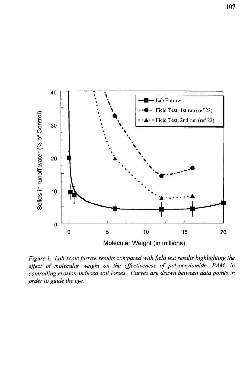

*Figure 1. Lab-scale furrow results compared with field test results highlighting the effect of molecular weight on the effectiveness of polyacrylamide, PAM, in controlling erosion-induced soil losses. Curves are drawn between data points in order to guide the eye.*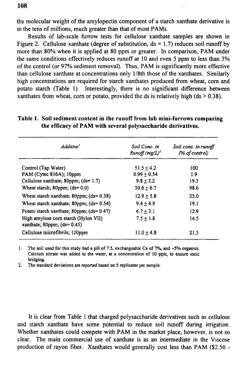the molecular weight of the amylopectin component of a starch xanthate derivative is in the tens of millions, much greater than that of most PAMs.

Results of lab-scale furrow tests for cellulose xanthate samples are shown in Figure 2. Cellulose xanthate (degree of substitution,  $ds = 1.7$ ) reduces soil runoff by more than 80% when it is applied at 80 ppm or greater. In comparison, PAM under the same conditions effectively reduces runoff at 10 and even 5 ppm to less than 3% of the control (or 97% sediment removal). Thus, PAM is significantly more effective than cellulose xanthate at concentrations only 1/8th those of the xanthates. Similarly high concentrations are required for starch xanthates produced from wheat, corn and potato starch (Table 1). Interestingly, there is no significant difference between xanthates from wheat, corn or potato, provided the ds is relatively high  $(ds > 0.38)$ .

| Additive <sup>1</sup>                                                   | Soil Conc. in<br>$Runoff(mg/L)^2$ | Soil conc. in runoff<br>(% of control) |  |
|-------------------------------------------------------------------------|-----------------------------------|----------------------------------------|--|
| Control (Tap Water)                                                     | $51.5 \pm 4.2$                    | 100                                    |  |
| PAM (Cytec 836A); 10ppm                                                 | $0.99 + 0.54$                     | 1.9                                    |  |
| Cellulose xanthate; 80ppm; (ds= 1.7)                                    | $9.8 \pm 2.2$                     | 19.3                                   |  |
| Wheat starch; $80$ ppm; $(ds = 0.0)$                                    | $50.6 + 6.7$                      | 98.6                                   |  |
| Wheat starch xanthate; 80ppm; $(ds = 0.38)$                             | $12.9 \pm 5.8$                    | 25.0                                   |  |
| Wheat starch xanthate; 80ppm; $(ds = 0.54)$                             | $9.4 + 4.9$                       | 19.1                                   |  |
| Potato starch xanthate; 80ppm; (ds= 0.47)                               | $6.7 \pm 3.1$                     | 12.9                                   |  |
| High amylose corn starch (Hylon VII)<br>xanthate; $80$ ppm; $(ds=0.45)$ | $7.5 + 1.8$                       | 14.5                                   |  |
| Cellulose microfibrils; 120ppm                                          | $11.0 + 4.8$                      | 21.3                                   |  |

#### Table 1. Soil sediment content in the runoff from lab mini-furrows comparing the efficacy of PAM with several polysaccharide derivatives.

1. The soil used for this study had a pH of 7.5, exchangeable Ca of 7%, and ~5% organics. Calcium nitrate was added to the water, at a concentration of 10 ppm, to ensure ionic bridging.

2. The standard deviations are reported based on 5 replicates per sample.

It is clear from Table 1 that charged polysaccharide derivatives such as cellulose and starch xanthate have some potential to reduce soil runoff during irrigation. Whether xanthates could compete with PAM in the market place, however, is not so clear. The main commercial use of xanthate is as an intermediate in the Viscose production of rayon fiber. Xanthates would generally cost less than PAM (\$2.50 -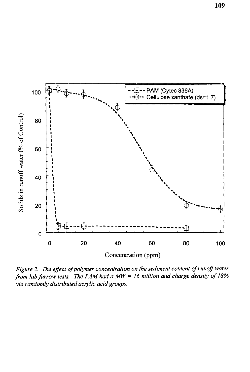

*Figure 2. The effect of polymer concentration on the sediment content of runoff water from lab furrow tests. The PAM had a MW = 16 million and charge density of 18% via randomly distributed acrylic acid groups.*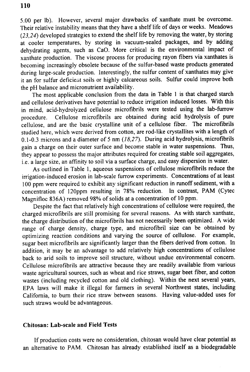**110**

5.00 per lb). However, several major drawbacks of xanthate must be overcome. Their relative instability means that they have a shelf life of days or weeks. Meadows *(23,24)* developed strategies to extend the shelf life by removing the water, by storing at cooler temperatures, by storing in vacuum-sealed packages, and by adding dehydrating agents, such as CaO. More critical is the environmental impact of xanthate production. The viscose process for producing rayon fibers via xanthates is becoming increasingly obsolete because of the sulfur-based waste products generated during large-scale production. Interestingly, the sulfur content of xanthates may give it an for sulfur deficient soils or highly calcareous soils. Sulfur could improve both the pH balance and micronutrient availability.

The most applicable conclusion from the data in Table 1 is that charged starch and cellulose derivatives have potential to reduce irrigation induced losses. With this in mind, acid-hydrolyzed cellulose microfibrils were tested using the lab-furrow procedure. Cellulose microfibrils are obtained during acid hydrolysis of pure cellulose, and are the basic crystalline unit of a cellulose fiber. The microfibrils studied here, which were derived from cotton, are rod-like crystallites with a length of 0.1-0.3 microns and a diameter of 5 nm *(18,27).* During acid hydrolysis, microfibrils gain a charge on their outer surface and become stable in water suspensions. Thus, they appear to possess the major attributes required for creating stable soil aggregates, i.e. a large size, an affinity to soil via a surface charge, and easy dispersion in water.

As outlined in Table 1, aqueous suspensions of cellulose microfibrils reduce the irrigation-induced erosion in lab-scale furrow experiments. Concentrations of at least 100 ppm were required to exhibit any significant reduction in runoff sediment, with a concentration of 120ppm resulting in 78% reduction. In contrast, PAM (Cytec Magnifloc 836A) removed 98% of solids at a concentration of 10 ppm.

Despite the fact that relatively high concentrations of cellulose were required, the charged microfibrils are still promising for several reasons. As with starch xanthate, the charge distribution of the microfibrils has not necessarily been optimized. A wide range of charge density, charge type, and microfibril size can be obtained by optimizing reaction conditions and varying the source of cellulose. For example, sugar beet microfibrils are significantly larger than the fibers derived from cotton. In addition, it may be an advantage to add relatively high concentrations of cellulose back to arid soils to improve soil structure, without undue environmental concern. Cellulose microfibrils are attractive because they are readily available from various waste agricultural sources, such as wheat and rice straws, sugar beet fiber, and cotton wastes (including recycled cotton and old clothing). Within the next several years, EPA laws will make it illegal for farmers in several Northwest states, including California, to burn their rice straw between seasons. Having value-added uses for such straws would be advantageous.

#### **Chitosan: Lab-scale and Field Tests**

If production costs were no consideration, chitosan would have clear potential as an alternative to PAM. Chitosan has already established itself as a biodegradable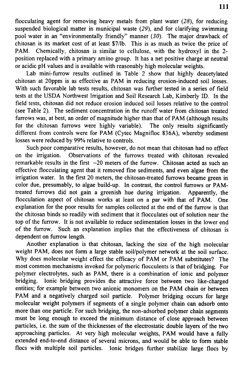flocculating agent for removing heavy metals from plant water (28), for reducing suspended biological matter in municipal waste (29), and for clarifying swimming pool water in an "environmentally friendly" manner (30). The major drawback of chitosan is its market cost of at least \$7/1b. This is as much as twice the price of PAM. Chemically, chitosan is similar to cellulose, with the hydroxyl in the 2 position replaced with a primary amino group. It has a net positive charge at neutral or acidic pH values and is available with reasonably high molecular weights.

Lab mini-furrow results outlined in Table 2 show that highly deacetylated chitosan at 20ppm is as effective as PAM in reducing erosion-induced soil losses. With such favorable lab tests results, chitosan was further tested in a series of field tests at the USDA Northwest Irrigation and Soil Research Lab, Kimberly ID. In the field tests, chitosan did not reduce erosion induced soil losses relative to the control (see Table 2). The sediment concentration in the runoff water from chitosan treated furrows was, at best, an order of magnitude higher than that of PAM (although results for the chitosan furrows were highly variable). The only results significantly different from controls were for PAM (Cytec Magnifloc 836A), whereby sediment losses were reduced by 99% relative to controls.

Such poor comparative results, however, do not mean that chitosan had no effect<br>on the irrigation. Observations of the furrows treated with chitosan revealed Observations of the furrows treated with chitosan revealed remarkable results in the first  $\sim$ 20 meters of the furrow. Chitosan acted as such an effective flocculating agent that it removed fine sediments, and even algae from the irrigation water. In the first 20 meters, the chitosan-treated furrows became green in color due, presumably, to algae build-up. In contrast, the control furrows or PAMtreated furrows did not gain a greenish hue during irrigation. Apparently, the flocculation aspect of chitosan works at least on a par with that of PAM. One explanation for the poor results for samples collected at the end of the furrow is that the chitosan binds so readily with sediment that it flocculates out of solution near the top of the furrow. It is not available to reduce sedimentation losses in the lower end of the furrow. Such an explanation implies that the effectiveness of chitosan is dependent on furrow length.

Another explanation is that chitosan, lacking the size of the high molecular weight PAM, does not form a large stable soil/polymer network at the soil surface. Why does molecular weight effect the efficacy of PAM or PAM substitutes? The most common mechanisms invoked for polymeric flocculents is that of bridging. For polymer electrolytes, such as PAM, there is a combination of ionic and polymer bridging. Ionic bridging provides the attractive force between two like-charged entities; for example between two anionic monomers on the PAM chain or between PAM and a negatively charged soil particle. Polymer bridging occurs for large molecular weight polymers if segments of a single polymer chain can adsorb onto more than one particle. For such bridging, the non-adsorbed polymer chain segments must be long enough to exceed the minimum distance of close approach between particles, i.e. the sum of the thicknesses of the electrostatic double layers of the two approaching particles. At very high molecular weights, PAM would have a fully extended end-to-end distance of several microns, and would be able to form stable flocs with multiple soil particles. Ionic bridges further stabilize large flocs by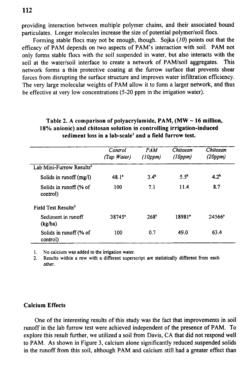providing interaction between multiple polymer chains, and their associated bound particulates. Longer molecules increase the size of potential polymer/soil flocs.

Forming stable flocs may not be enough, though. Sojka  $(10)$  points out that the efficacy of PAM depends on two aspects of PAM's interaction with soil. PAM not only forms stable flocs with the soil suspended in water, but also interacts with the soil at the water/soil interface to create a network of PAM/soil aggregates. This network forms a thin protective coating at the furrow surface that prevents shear forces from disrupting the surface structure and improves water infiltration efficiency. The very large molecular weights of PAM allow it to form a larger network, and thus be effective at very low concentrations (5-20 ppm in the irrigation water).

## Table 2. A **comparison of polyacrylamide, PAM,** (MW — **16 million, 18% anionic) and chitosan solution in controlling irrigation-induced sediment loss in a lab-scale' and a field furrow test.**

|                                      | Control<br>(Tap Water) | PAM<br>(10 ppm)  | Chitosan<br>(10ppm) | Chitosan<br>(20ppm) |
|--------------------------------------|------------------------|------------------|---------------------|---------------------|
| Lab Mini-Furrow Results <sup>2</sup> |                        |                  |                     |                     |
| Solids in runoff (mg/l)              | $48.1^*$               | $3.4^{b}$        | $5.5^{\circ}$       | $4.2^b$             |
| Solids in runoff (% of<br>control)   | 100                    | 7.1              | 11.4                | 8.7                 |
| Field Test Results <sup>2</sup>      |                        |                  |                     |                     |
| Sediment in runoff<br>(kg/ha)        | 38745*                 | 268 <sup>b</sup> | 18981*              | 24566 <sup>*</sup>  |
| Solids in runoff (% of<br>control)   | 100                    | 0.7              | 49.0                | 63.4                |

1. No calcium was added to the irrigation water.

2. Results within a row with a different superscript are statistically different from each other.

#### **Calcium Effects**

One of the interesting results of this study was the fact that improvements in soil runoff in the lab furrow test were achieved independent of the presence of PAM. To explore this result further, we utilized a soil from Davis, CA that did not respond well to PAM. As shown in Figure 3, calcium alone significantly reduced suspended solids in the runoff from this soil, although PAM and calcium still had a greater effect than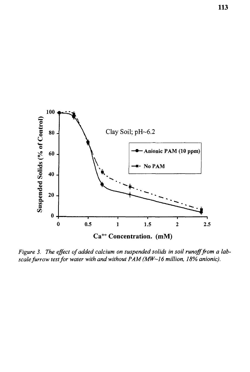

*Figure 3. The effect of added calcium on suspended solids in soil runoff from a labscale furrow test for water with and without PAM (MW--16 million, 18% anionic).*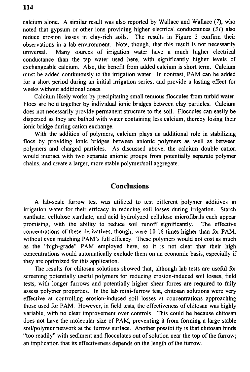calcium alone. A similar result was also reported by Wallace and Wallace (7), who noted that gypsum or other ions providing higher electrical conductances *(31)* also reduce erosion losses in clay-rich soils. The results in Figure 3 confirm their observations in a lab environment. Note, though, that this result is not necessarily universal. Many sources of irrigation water have a much higher electrical conductance than the tap water used here, with significantly higher levels of exchangeable calcium. Also, the benefit from added calcium is short term. Calcium must be added continuously to the irrigation water. In contrast, PAM can be added for a short period during an initial irrigation series, and provide a lasting effect for weeks without additional doses.

Calcium likely works by precipitating small tenuous floccules from turbid water. Flocs are held together by individual ionic bridges between clay particles. Calcium does not necessarily provide permanent structure to the soil. Floccules can easily be dispersed as they are bathed with water containing less calcium, thereby losing their ionic bridge during cation exchange.

With the addition of polymers, calcium plays an additional role in stabilizing flocs by providing ionic bridges between anionic polymers as well as between polymers and charged particles. As discussed above, the calcium double cation would interact with two separate anionic groups from potentially separate polymer chains, and create a larger, more stable polymer/soil aggregate.

# **Conclusions**

A lab-scale furrow test was utilized to test different polymer additives in irrigation water for their efficacy in reducing soil losses during irrigation. Starch xanthate, cellulose xanthate, and acid hydrolyzed cellulose microfibrils each appear promising, with the ability to reduce soil runoff significantly. The effective concentrations of these derivatives, though, were 10-16 times higher than for PAM, without even matching PAM's full efficacy. These polymers would not cost as much as the "high-grade" PAM employed here, so it is not clear that their high concentrations would automatically exclude them on an economic basis, especially if they are optimized for this application.

The results for chitosan solutions showed that, although lab tests are useful for screening potentially useful polymers for reducing erosion-induced soil losses, field tests, with longer furrows and potentially higher shear forces are required to fully assess polymer properties. In the lab mini-furrow test, chitosan solutions were very effective at controlling erosion-induced soil losses at concentrations approaching those used for PAM. However, in field tests, the effectiveness of chitosan was highly variable, with no clear improvement over controls. This could be because chitosan does not have the molecular size of PAM, preventing it from forming a large stable soil/polymer network at the furrow surface. Another possibility is that chitosan binds "too readily" with sediment and flocculates out of solution near the top of the furrow; an implication that its effectiveness depends on the length of the furrow.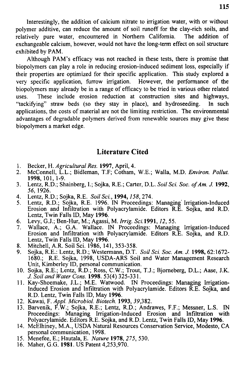Interestingly, the addition of calcium nitrate to irrigation water, with or without polymer additive, can reduce the amount of soil runoff for the clay-rich soils, and relatively pure water, encountered in Northern California. The addition of exchangeable calcium, however, would not have the long-term effect on soil structure exhibited by PAM.

Although PAM's efficacy was not reached in these tests, there is promise that biopolymers can play a role in reducing erosion-induced sediment loss, especially if their properties are optimized for their specific application. This study explored a very specific application, furrow irrigation. However, the performance of the biopolymers may already be in a range of efficacy to be tried in various other related uses. These include erosion reduction at construction sites and highways, "tackifying" straw beds (so they stay in place), and hydroseeding. In such applications, the costs of material are not the limiting restriction. The environmental advantages of degradable polymers derived from renewable sources may give these biopolymers a market edge.

# **Literature Cited**

- 1. Becker, H. *Agricultural Res.* 1997, April, 4.
- 2. McConnell, L.L.; Bidleman, T.F; Cotham, W.E.; Walla, M.D. *Environ. Pollut.* 1998, 101, 1-9.
- 3. Lentz, R.D.; Shainberg, I.; Sojka, R.E.; Carter, D.L. *Soil Sci. Soc. of Am. J.* **1992,** *56,* 1926.
- 4. Lentz, R.D.; Sojka, R.E. *Soil Sci.,* **1994,** *158,* 274.
- Lentz, R.D.; Sojka, R.E. 1996. IN Proceedings: Managing Irrigation-Induced Erosion and Infiltration with Polyacrylamide. Editors R.E. Sojka, and R.D. Lentz, Twin Falls ID, May **1996.**
- 6. Levy, G.J.; Ben-Hur, M.; Agassi, M. *Irrig. Sci.1991, 12,* 55.
- Wallace, A.; G.A. Wallace. IN Proceedings: Managing Irrigation-Induced Erosion and Infiltration with Polyacrylamide. Editors R.E. Sojka, and R.D. Lentz, Twin Falls ID, May 1996.
- 8. Mitchell, A.R. Soil Sci. 1986, 141, 353-358.<br>9. Soika, R.E.: Lentz, R.D.: Westermann, D.T.
- 9. Sojka, R.E.: Lentz, R.D.; Westermann, D.T. *Soil Sci. Soc. Am. J.* **1998,** 62:1672- 1680.; R.E. Sojka, 1998, USDA-ARS Soil and Water Management Research Unit, Kimberley ID, personal communication.
- 10. Sojka, R.E.; Lentz, R.D.; Ross, C.W.; Trout, T.J.; Bjorneberg, D.L.; Aase, J.K. *J. Soil and Water Cons.* **1998.** 53(4) 325-331.
- 11. Kay-Shoemake, J.L.; M.E. Watwood. IN Proceedings: Managing Irrigation-Induced Erosion and Infiltration with Polyacrylamide. Editors R.E. Sojka, and R.D. Lentz, Twin Falls ID, May 1996.
- 12. Kawai, F. *Appl. Microbiol. Biotech.* **1993,** 39,382.
- 13. Barvenik, F.W.; Sojka, R.E.; Lentz, R.D.; Andrawes, F.F.; Messner, L.S. IN Proceedings: Managing Irrigation-Induced Erosion and Infiltration with Polyacrylamide. Editors R.E. Sojka, and R.D. Lentz, Twin Falls ID, May 1996.
- 14. McElhiney, M.A., USDA Natural Resources Conservation Service, Modesto, CA personal communication, 1998.
- 15. Menefee, E.; Hautala, E. *Nature* **1978,** *275,* 530.
- 16. Maher, G.G. **1981.** US Patent 4,253,970.